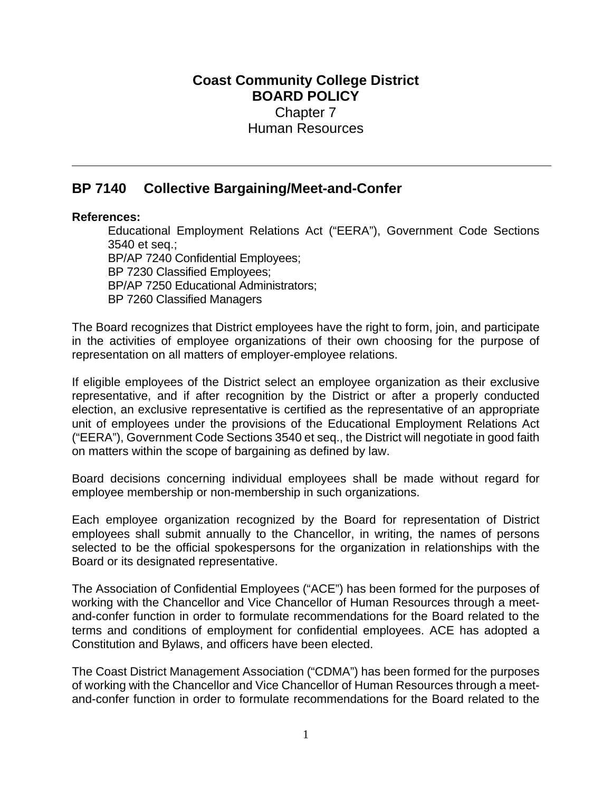## **Coast Community College District BOARD POLICY** Chapter 7 Human Resources

## **BP 7140 Collective Bargaining/Meet-and-Confer**

## **References:**

Educational Employment Relations Act ("EERA"), Government Code Sections 3540 et seq.; BP/AP 7240 Confidential Employees; BP 7230 Classified Employees; BP/AP 7250 Educational Administrators; BP 7260 Classified Managers

The Board recognizes that District employees have the right to form, join, and participate in the activities of employee organizations of their own choosing for the purpose of representation on all matters of employer-employee relations.

If eligible employees of the District select an employee organization as their exclusive representative, and if after recognition by the District or after a properly conducted election, an exclusive representative is certified as the representative of an appropriate unit of employees under the provisions of the Educational Employment Relations Act ("EERA"), Government Code Sections 3540 et seq., the District will negotiate in good faith on matters within the scope of bargaining as defined by law.

Board decisions concerning individual employees shall be made without regard for employee membership or non-membership in such organizations.

Each employee organization recognized by the Board for representation of District employees shall submit annually to the Chancellor, in writing, the names of persons selected to be the official spokespersons for the organization in relationships with the Board or its designated representative.

The Association of Confidential Employees ("ACE") has been formed for the purposes of working with the Chancellor and Vice Chancellor of Human Resources through a meetand-confer function in order to formulate recommendations for the Board related to the terms and conditions of employment for confidential employees. ACE has adopted a Constitution and Bylaws, and officers have been elected.

The Coast District Management Association ("CDMA") has been formed for the purposes of working with the Chancellor and Vice Chancellor of Human Resources through a meetand-confer function in order to formulate recommendations for the Board related to the